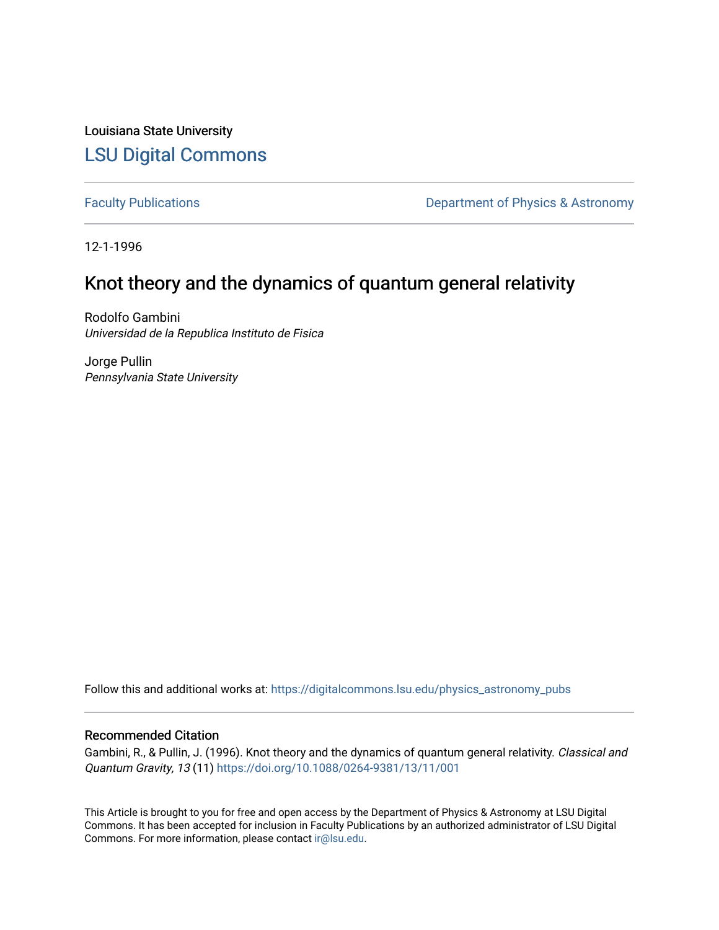Louisiana State University [LSU Digital Commons](https://digitalcommons.lsu.edu/)

[Faculty Publications](https://digitalcommons.lsu.edu/physics_astronomy_pubs) **Exercise 2 and Table 2 and Table 2 and Table 2 and Table 2 and Table 2 and Table 2 and Table 2 and Table 2 and Table 2 and Table 2 and Table 2 and Table 2 and Table 2 and Table 2 and Table 2 and Table** 

12-1-1996

## Knot theory and the dynamics of quantum general relativity

Rodolfo Gambini Universidad de la Republica Instituto de Fisica

Jorge Pullin Pennsylvania State University

Follow this and additional works at: [https://digitalcommons.lsu.edu/physics\\_astronomy\\_pubs](https://digitalcommons.lsu.edu/physics_astronomy_pubs?utm_source=digitalcommons.lsu.edu%2Fphysics_astronomy_pubs%2F4436&utm_medium=PDF&utm_campaign=PDFCoverPages) 

## Recommended Citation

Gambini, R., & Pullin, J. (1996). Knot theory and the dynamics of quantum general relativity. Classical and Quantum Gravity, 13 (11) <https://doi.org/10.1088/0264-9381/13/11/001>

This Article is brought to you for free and open access by the Department of Physics & Astronomy at LSU Digital Commons. It has been accepted for inclusion in Faculty Publications by an authorized administrator of LSU Digital Commons. For more information, please contact [ir@lsu.edu](mailto:ir@lsu.edu).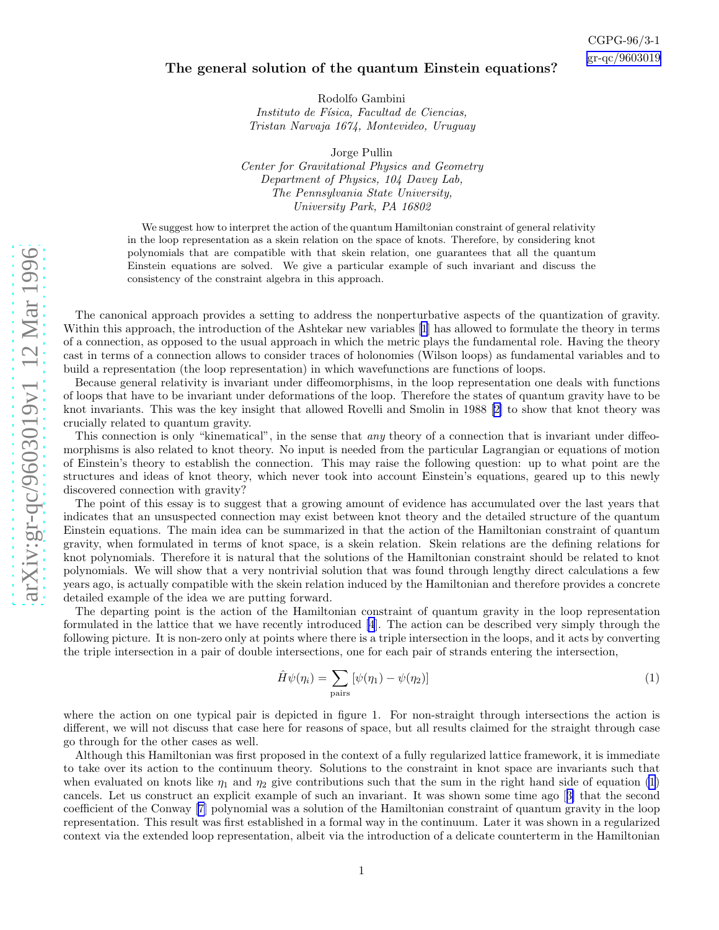## The general solution of the quantum Einstein equations?

Rodolfo Gambini Instituto de Física, Facultad de Ciencias, Tristan Narvaja 1674, Montevideo, Uruguay

Jorge Pullin Center for Gravitational Physics and Geometry Department of Physics, 104 Davey Lab, The Pennsylvania State University, University Park, PA 16802

We suggest how to interpret the action of the quantum Hamiltonian constraint of general relativity in the loop representation as a skein relation on the space of knots. Therefore, by considering knot polynomials that are compatible with that skein relation, one guarantees that all the quantum Einstein equations are solved. We give a particular example of such invariant and discuss the consistency of the constraint algebra in this approach.

The canonical approach provides a setting to address the nonperturbative aspects of the quantization of gravity. Within this approach, the introduction of the Ashtekar new variables[[1\]](#page-3-0) has allowed to formulate the theory in terms of a connection, as opposed to the usual approach in which the metric plays the fundamental role. Having the theory cast in terms of a connection allows to consider traces of holonomies (Wilson loops) as fundamental variables and to build a representation (the loop representation) in which wavefunctions are functions of loops.

Because general relativity is invariant under diffeomorphisms, in the loop representation one deals with functions of loops that have to be invariant under deformations of the loop. Therefore the states of quantum gravity have to be knot invariants. This was the key insight that allowed Rovelli and Smolin in 1988[[2\]](#page-3-0) to show that knot theory was crucially related to quantum gravity.

This connection is only "kinematical", in the sense that *any* theory of a connection that is invariant under diffeomorphisms is also related to knot theory. No input is needed from the particular Lagrangian or equations of motion of Einstein's theory to establish the connection. This may raise the following question: up to what point are the structures and ideas of knot theory, which never took into account Einstein's equations, geared up to this newly discovered connection with gravity?

The point of this essay is to suggest that a growing amount of evidence has accumulated over the last years that indicates that an unsuspected connection may exist between knot theory and the detailed structure of the quantum Einstein equations. The main idea can be summarized in that the action of the Hamiltonian constraint of quantum gravity, when formulated in terms of knot space, is a skein relation. Skein relations are the defining relations for knot polynomials. Therefore it is natural that the solutions of the Hamiltonian constraint should be related to knot polynomials. We will show that a very nontrivial solution that was found through lengthy direct calculations a few years ago, is actually compatible with the skein relation induced by the Hamiltonian and therefore provides a concrete detailed example of the idea we are putting forward.

The departing point is the action of the Hamiltonian constraint of quantum gravity in the loop representation formulated in the lattice that we have recently introduced [\[4](#page-3-0)]. The action can be described very simply through the following picture. It is non-zero only at points where there is a triple intersection in the loops, and it acts by converting the triple intersection in a pair of double intersections, one for each pair of strands entering the intersection,

$$
\hat{H}\psi(\eta_i) = \sum_{\text{pairs}} \left[ \psi(\eta_1) - \psi(\eta_2) \right] \tag{1}
$$

where the action on one typical pair is depicted in figure 1. For non-straight through intersections the action is different, we will not discuss that case here for reasons of space, but all results claimed for the straight through case go through for the other cases as well.

Although this Hamiltonian was first proposed in the context of a fully regularized lattice framework, it is immediate to take over its action to the continuum theory. Solutions to the constraint in knot space are invariants such that when evaluated on knots like  $\eta_1$  and  $\eta_2$  give contributions such that the sum in the right hand side of equation (1) cancels. Let us construct an explicit example of such an invariant. It was shown some time ago[[3\]](#page-3-0) that the second coefficient of the Conway[[7\]](#page-3-0) polynomial was a solution of the Hamiltonian constraint of quantum gravity in the loop representation. This result was first established in a formal way in the continuum. Later it was shown in a regularized context via the extended loop representation, albeit via the introduction of a delicate counterterm in the Hamiltonian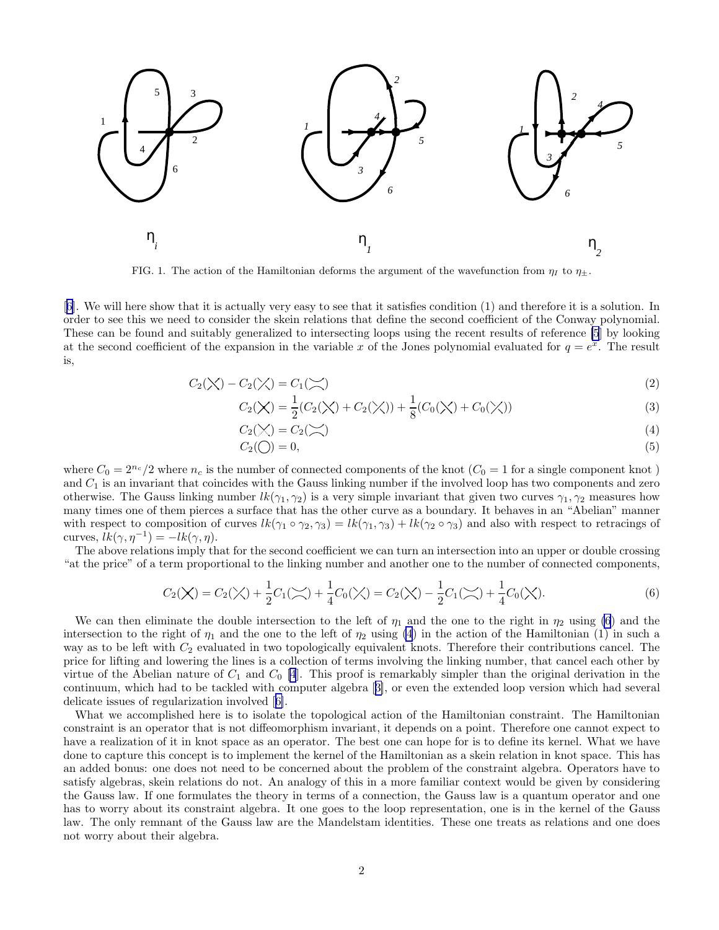

FIG. 1. The action of the Hamiltonian deforms the argument of the wavefunction from  $\eta_I$  to  $\eta_{\pm}$ .

[[6\]](#page-3-0). We will here show that it is actually very easy to see that it satisfies condition (1) and therefore it is a solution. In order to see this we need to consider the skein relations that define the second coefficient of the Conway polynomial. These can be found and suitably generalized to intersecting loops using the recent results of reference [\[5](#page-3-0)] by looking at the second coefficient of the expansion in the variable x of the Jones polynomial evaluated for  $q = e^{x}$ . The result is,

$$
C_2(\times) - C_2(\times) = C_1(\times)
$$
\n<sup>(2)</sup>

$$
C_2(\chi) = \frac{1}{2}(C_2(\chi) + C_2(\chi)) + \frac{1}{8}(C_0(\chi) + C_0(\chi))
$$
\n(3)

$$
C_2(\bigvee) = C_2(\bigvee)
$$
\n<sup>(4)</sup>

$$
C_2(\bigcirc) = 0,\tag{5}
$$

where  $C_0 = 2^{n_c}/2$  where  $n_c$  is the number of connected components of the knot  $(C_0 = 1$  for a single component knot ) and  $C_1$  is an invariant that coincides with the Gauss linking number if the involved loop has two components and zero otherwise. The Gauss linking number  $lk(\gamma_1, \gamma_2)$  is a very simple invariant that given two curves  $\gamma_1, \gamma_2$  measures how many times one of them pierces a surface that has the other curve as a boundary. It behaves in an "Abelian" manner with respect to composition of curves  $lk(\gamma_1 \circ \gamma_2, \gamma_3) = lk(\gamma_1, \gamma_3) + lk(\gamma_2 \circ \gamma_3)$  and also with respect to retracings of curves,  $\overline{lk}(\gamma, \eta^{-1}) = -lk(\gamma, \eta)$ .

The above relations imply that for the second coefficient we can turn an intersection into an upper or double crossing "at the price" of a term proportional to the linking number and another one to the number of connected components,

$$
C_2(\mathsf{X}) = C_2(\mathsf{X}) + \frac{1}{2}C_1(\mathsf{X}) + \frac{1}{4}C_0(\mathsf{X}) = C_2(\mathsf{X}) - \frac{1}{2}C_1(\mathsf{X}) + \frac{1}{4}C_0(\mathsf{X}).
$$
\n(6)

We can then eliminate the double intersection to the left of  $\eta_1$  and the one to the right in  $\eta_2$  using (6) and the intersection to the right of  $\eta_1$  and the one to the left of  $\eta_2$  using (4) in the action of the Hamiltonian (1) in such a way as to be left with  $C_2$  evaluated in two topologically equivalent knots. Therefore their contributions cancel. The price for lifting and lowering the lines is a collection of terms involving the linking number, that cancel each other by virtue of the Abelian nature of  $C_1$  and  $C_0$  [\[4](#page-3-0)]. This proof is remarkably simpler than the original derivation in the continuum, which had to be tackled with computer algebra[[3\]](#page-3-0), or even the extended loop version which had several delicate issues of regularization involved[[6\]](#page-3-0).

What we accomplished here is to isolate the topological action of the Hamiltonian constraint. The Hamiltonian constraint is an operator that is not diffeomorphism invariant, it depends on a point. Therefore one cannot expect to have a realization of it in knot space as an operator. The best one can hope for is to define its kernel. What we have done to capture this concept is to implement the kernel of the Hamiltonian as a skein relation in knot space. This has an added bonus: one does not need to be concerned about the problem of the constraint algebra. Operators have to satisfy algebras, skein relations do not. An analogy of this in a more familiar context would be given by considering the Gauss law. If one formulates the theory in terms of a connection, the Gauss law is a quantum operator and one has to worry about its constraint algebra. It one goes to the loop representation, one is in the kernel of the Gauss law. The only remnant of the Gauss law are the Mandelstam identities. These one treats as relations and one does not worry about their algebra.